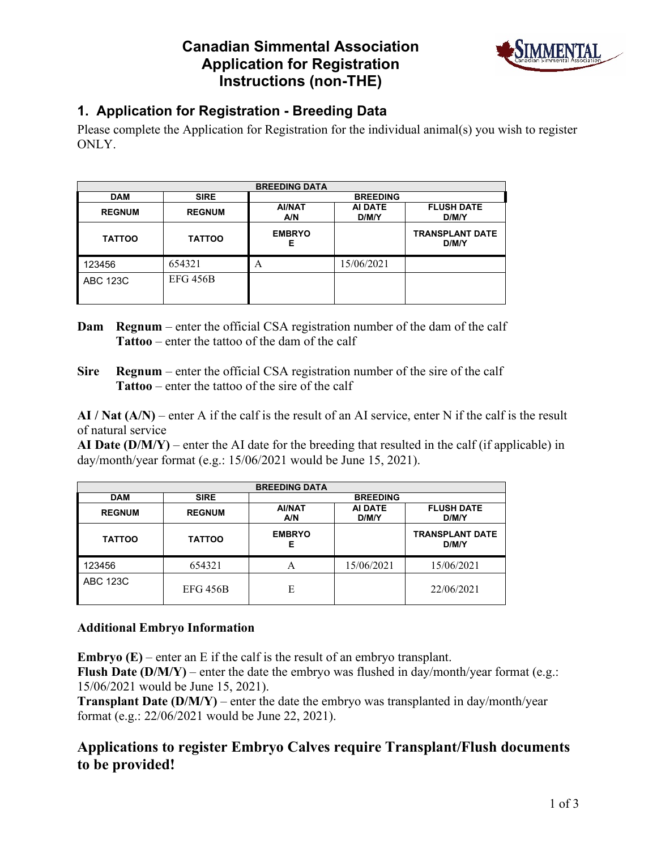## **Canadian Simmental Association Application for Registration Instructions (non-THE)**



### **1. Application for Registration - Breeding Data**

Please complete the Application for Registration for the individual animal(s) you wish to register ONLY.

|                 |                 | <b>BREEDING DATA</b> |                  |                                 |  |  |  |  |  |  |
|-----------------|-----------------|----------------------|------------------|---------------------------------|--|--|--|--|--|--|
| <b>DAM</b>      | <b>SIRE</b>     |                      | <b>BREEDING</b>  |                                 |  |  |  |  |  |  |
| <b>REGNUM</b>   | <b>REGNUM</b>   | <b>AI/NAT</b><br>A/N | AI DATE<br>D/M/Y | <b>FLUSH DATE</b><br>D/M/Y      |  |  |  |  |  |  |
| <b>TATTOO</b>   | <b>TATTOO</b>   | <b>EMBRYO</b><br>Е   |                  | <b>TRANSPLANT DATE</b><br>D/M/Y |  |  |  |  |  |  |
| 123456          | 654321          | А                    | 15/06/2021       |                                 |  |  |  |  |  |  |
| <b>ABC 123C</b> | <b>EFG 456B</b> |                      |                  |                                 |  |  |  |  |  |  |

- **Dam Regnum** enter the official CSA registration number of the dam of the calf **Tattoo** – enter the tattoo of the dam of the calf
- **Sire Regnum** enter the official CSA registration number of the sire of the calf **Tattoo** – enter the tattoo of the sire of the calf

**AI / Nat (A/N)** – enter A if the calf is the result of an AI service, enter N if the calf is the result of natural service

**AI Date (D/M/Y)** – enter the AI date for the breeding that resulted in the calf (if applicable) in day/month/year format (e.g.: 15/06/2021 would be June 15, 2021).

|                 |                 | <b>BREEDING DATA</b> |                  |                                 |
|-----------------|-----------------|----------------------|------------------|---------------------------------|
| <b>DAM</b>      | <b>SIRE</b>     |                      | <b>BREEDING</b>  |                                 |
| <b>REGNUM</b>   | <b>REGNUM</b>   | <b>AI/NAT</b><br>A/N | AI DATE<br>D/M/Y | <b>FLUSH DATE</b><br>D/M/Y      |
| <b>TATTOO</b>   | <b>TATTOO</b>   | <b>EMBRYO</b><br>Е   |                  | <b>TRANSPLANT DATE</b><br>D/M/Y |
| 123456          | 654321          | A                    | 15/06/2021       | 15/06/2021                      |
| <b>ABC 123C</b> | <b>EFG 456B</b> | E                    |                  | 22/06/2021                      |

#### **Additional Embryo Information**

**Embryo (E)** – enter an E if the calf is the result of an embryo transplant.

**Flush Date (D/M/Y)** – enter the date the embryo was flushed in day/month/year format (e.g.: 15/06/2021 would be June 15, 2021).

**Transplant Date (D/M/Y)** – enter the date the embryo was transplanted in day/month/year format (e.g.: 22/06/2021 would be June 22, 2021).

### **Applications to register Embryo Calves require Transplant/Flush documents to be provided!**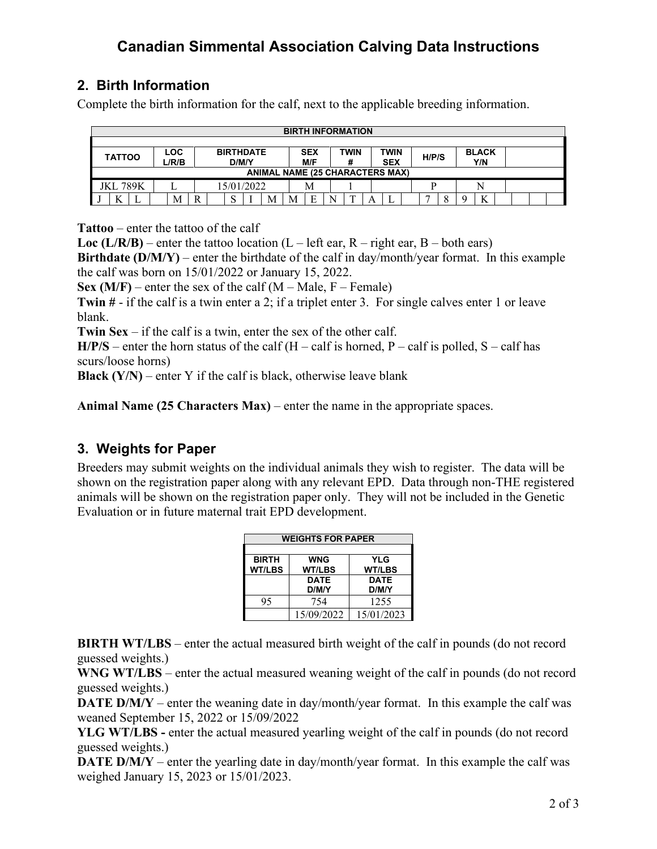# **Canadian Simmental Association Calving Data Instructions**

## **2. Birth Information**

Complete the birth information for the calf, next to the applicable breeding information.

|                 |  |                     |   |                           |                                        |   |                   | <b>BIRTH INFORMATION</b> |   |                    |       |  |                       |  |  |
|-----------------|--|---------------------|---|---------------------------|----------------------------------------|---|-------------------|--------------------------|---|--------------------|-------|--|-----------------------|--|--|
|                 |  |                     |   |                           |                                        |   |                   |                          |   |                    |       |  |                       |  |  |
| <b>TATTOO</b>   |  | <b>LOC</b><br>L/R/B |   | <b>BIRTHDATE</b><br>D/M/Y |                                        |   | <b>SEX</b><br>M/F | TWIN                     |   | TWIN<br><b>SEX</b> | H/P/S |  | <b>BLACK</b><br>Y/N   |  |  |
|                 |  |                     |   |                           | <b>ANIMAL NAME (25 CHARACTERS MAX)</b> |   |                   |                          |   |                    |       |  |                       |  |  |
| <b>JKL 789K</b> |  |                     |   | 15/01/2022                |                                        |   | M                 |                          |   |                    |       |  |                       |  |  |
| T               |  | M                   | R |                           | M                                      | M | F                 | $\mathbf{r}$             | A |                    |       |  | $\boldsymbol{V}$<br>A |  |  |

**Tattoo** – enter the tattoo of the calf

**Loc (L/R/B)** – enter the tattoo location (L – left ear, R – right ear, B – both ears)

**Birthdate (D/M/Y)** – enter the birthdate of the calf in day/month/year format. In this example the calf was born on 15/01/2022 or January 15, 2022.

**Sex (M/F)** – enter the sex of the calf ( $M$  – Male,  $F$  – Female)

**Twin #** - if the calf is a twin enter a 2; if a triplet enter 3. For single calves enter 1 or leave blank.

**Twin Sex** – if the calf is a twin, enter the sex of the other calf.

 $H/P/S$  – enter the horn status of the calf (H – calf is horned, P – calf is polled, S – calf has scurs/loose horns)

**Black**  $(Y/N)$  – enter Y if the calf is black, otherwise leave blank

**Animal Name (25 Characters Max)** – enter the name in the appropriate spaces.

#### **3. Weights for Paper**

Breeders may submit weights on the individual animals they wish to register. The data will be shown on the registration paper along with any relevant EPD. Data through non-THE registered animals will be shown on the registration paper only. They will not be included in the Genetic Evaluation or in future maternal trait EPD development.

| <b>WEIGHTS FOR PAPER</b> |               |               |  |  |  |  |
|--------------------------|---------------|---------------|--|--|--|--|
|                          |               |               |  |  |  |  |
| <b>BIRTH</b>             | <b>WNG</b>    | <b>YLG</b>    |  |  |  |  |
| <b>WT/LBS</b>            | <b>WT/LBS</b> | <b>WT/LBS</b> |  |  |  |  |
|                          | <b>DATE</b>   | <b>DATE</b>   |  |  |  |  |
|                          | D/M/Y         | D/M/Y         |  |  |  |  |
| 95                       | 754           | 1255          |  |  |  |  |
|                          | 15/09/2022    | 15/01/2023    |  |  |  |  |

**BIRTH WT/LBS** – enter the actual measured birth weight of the calf in pounds (do not record guessed weights.)

**WNG WT/LBS** – enter the actual measured weaning weight of the calf in pounds (do not record guessed weights.)

**DATE D/M/Y** – enter the weaning date in day/month/year format. In this example the calf was weaned September 15, 2022 or 15/09/2022

**YLG WT/LBS -** enter the actual measured yearling weight of the calf in pounds (do not record guessed weights.)

**DATE D/M/Y** – enter the yearling date in day/month/year format. In this example the calf was weighed January 15, 2023 or 15/01/2023.